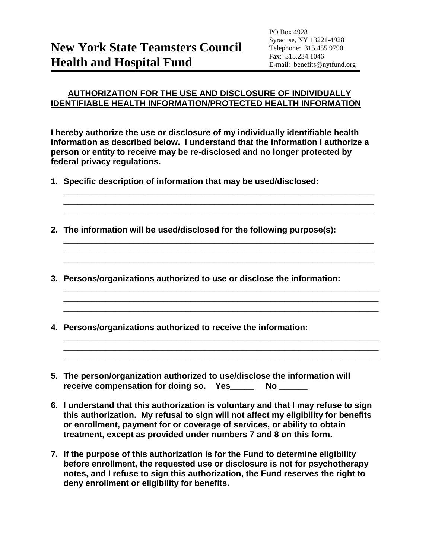## **AUTHORIZATION FOR THE USE AND DISCLOSURE OF INDIVIDUALLY IDENTIFIABLE HEALTH INFORMATION/PROTECTED HEALTH INFORMATION**

**I hereby authorize the use or disclosure of my individually identifiable health information as described below. I understand that the information I authorize a person or entity to receive may be re-disclosed and no longer protected by federal privacy regulations.**

**\_\_\_\_\_\_\_\_\_\_\_\_\_\_\_\_\_\_\_\_\_\_\_\_\_\_\_\_\_\_\_\_\_\_\_\_\_\_\_\_\_\_\_\_\_\_\_\_\_\_\_\_\_\_\_\_\_\_\_\_\_\_\_\_\_\_ \_\_\_\_\_\_\_\_\_\_\_\_\_\_\_\_\_\_\_\_\_\_\_\_\_\_\_\_\_\_\_\_\_\_\_\_\_\_\_\_\_\_\_\_\_\_\_\_\_\_\_\_\_\_\_\_\_\_\_\_\_\_\_\_\_\_ \_\_\_\_\_\_\_\_\_\_\_\_\_\_\_\_\_\_\_\_\_\_\_\_\_\_\_\_\_\_\_\_\_\_\_\_\_\_\_\_\_\_\_\_\_\_\_\_\_\_\_\_\_\_\_\_\_\_\_\_\_\_\_\_\_\_**

**\_\_\_\_\_\_\_\_\_\_\_\_\_\_\_\_\_\_\_\_\_\_\_\_\_\_\_\_\_\_\_\_\_\_\_\_\_\_\_\_\_\_\_\_\_\_\_\_\_\_\_\_\_\_\_\_\_\_\_\_\_\_\_\_\_\_ \_\_\_\_\_\_\_\_\_\_\_\_\_\_\_\_\_\_\_\_\_\_\_\_\_\_\_\_\_\_\_\_\_\_\_\_\_\_\_\_\_\_\_\_\_\_\_\_\_\_\_\_\_\_\_\_\_\_\_\_\_\_\_\_\_\_ \_\_\_\_\_\_\_\_\_\_\_\_\_\_\_\_\_\_\_\_\_\_\_\_\_\_\_\_\_\_\_\_\_\_\_\_\_\_\_\_\_\_\_\_\_\_\_\_\_\_\_\_\_\_\_\_\_\_\_\_\_\_\_\_\_\_**

**\_\_\_\_\_\_\_\_\_\_\_\_\_\_\_\_\_\_\_\_\_\_\_\_\_\_\_\_\_\_\_\_\_\_\_\_\_\_\_\_\_\_\_\_\_\_\_\_\_\_\_\_\_\_\_\_\_\_\_\_\_\_\_\_\_\_\_ \_\_\_\_\_\_\_\_\_\_\_\_\_\_\_\_\_\_\_\_\_\_\_\_\_\_\_\_\_\_\_\_\_\_\_\_\_\_\_\_\_\_\_\_\_\_\_\_\_\_\_\_\_\_\_\_\_\_\_\_\_\_\_\_\_\_\_ \_\_\_\_\_\_\_\_\_\_\_\_\_\_\_\_\_\_\_\_\_\_\_\_\_\_\_\_\_\_\_\_\_\_\_\_\_\_\_\_\_\_\_\_\_\_\_\_\_\_\_\_\_\_\_\_\_\_\_\_\_\_\_\_\_\_\_**

**\_\_\_\_\_\_\_\_\_\_\_\_\_\_\_\_\_\_\_\_\_\_\_\_\_\_\_\_\_\_\_\_\_\_\_\_\_\_\_\_\_\_\_\_\_\_\_\_\_\_\_\_\_\_\_\_\_\_\_\_\_\_\_\_\_\_\_ \_\_\_\_\_\_\_\_\_\_\_\_\_\_\_\_\_\_\_\_\_\_\_\_\_\_\_\_\_\_\_\_\_\_\_\_\_\_\_\_\_\_\_\_\_\_\_\_\_\_\_\_\_\_\_\_\_\_\_\_\_\_\_\_\_\_\_ \_\_\_\_\_\_\_\_\_\_\_\_\_\_\_\_\_\_\_\_\_\_\_\_\_\_\_\_\_\_\_\_\_\_\_\_\_\_\_\_\_\_\_\_\_\_\_\_\_\_\_\_\_\_\_\_\_\_\_\_\_\_\_\_\_\_\_**

- **1. Specific description of information that may be used/disclosed:**
- **2. The information will be used/disclosed for the following purpose(s):**
- **3. Persons/organizations authorized to use or disclose the information:**
- **4. Persons/organizations authorized to receive the information:**
- **5. The person/organization authorized to use/disclose the information will**  receive compensation for doing so. Yes **No Limitation**
- **6. I understand that this authorization is voluntary and that I may refuse to sign this authorization. My refusal to sign will not affect my eligibility for benefits or enrollment, payment for or coverage of services, or ability to obtain treatment, except as provided under numbers 7 and 8 on this form.**
- **7. If the purpose of this authorization is for the Fund to determine eligibility before enrollment, the requested use or disclosure is not for psychotherapy notes, and I refuse to sign this authorization, the Fund reserves the right to deny enrollment or eligibility for benefits.**